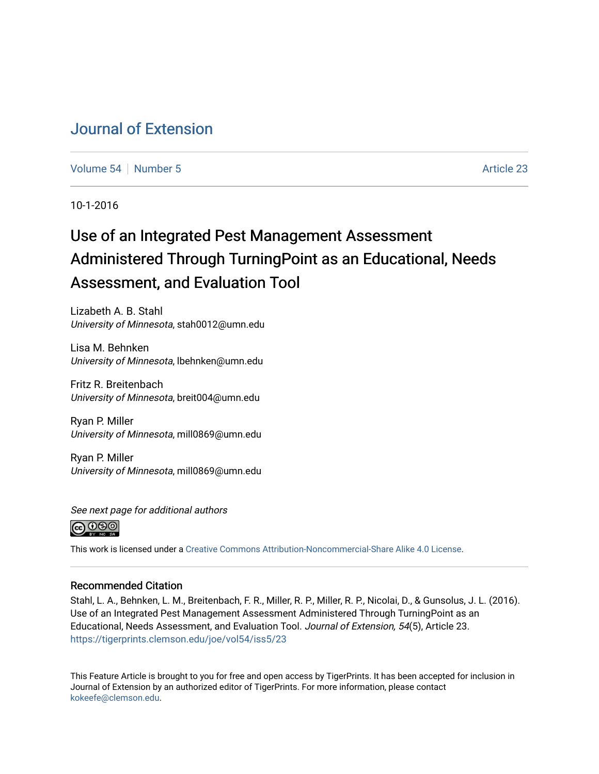# [Journal of Extension](https://tigerprints.clemson.edu/joe)

[Volume 54](https://tigerprints.clemson.edu/joe/vol54) [Number 5](https://tigerprints.clemson.edu/joe/vol54/iss5) Article 23

10-1-2016

# Use of an Integrated Pest Management Assessment Administered Through TurningPoint as an Educational, Needs Assessment, and Evaluation Tool

Lizabeth A. B. Stahl University of Minnesota, stah0012@umn.edu

Lisa M. Behnken University of Minnesota, lbehnken@umn.edu

Fritz R. Breitenbach University of Minnesota, breit004@umn.edu

Ryan P. Miller University of Minnesota, mill0869@umn.edu

Ryan P. Miller University of Minnesota, mill0869@umn.edu





This work is licensed under a [Creative Commons Attribution-Noncommercial-Share Alike 4.0 License.](https://creativecommons.org/licenses/by-nc-sa/4.0/)

### Recommended Citation

Stahl, L. A., Behnken, L. M., Breitenbach, F. R., Miller, R. P., Miller, R. P., Nicolai, D., & Gunsolus, J. L. (2016). Use of an Integrated Pest Management Assessment Administered Through TurningPoint as an Educational, Needs Assessment, and Evaluation Tool. Journal of Extension, 54(5), Article 23. <https://tigerprints.clemson.edu/joe/vol54/iss5/23>

This Feature Article is brought to you for free and open access by TigerPrints. It has been accepted for inclusion in Journal of Extension by an authorized editor of TigerPrints. For more information, please contact [kokeefe@clemson.edu](mailto:kokeefe@clemson.edu).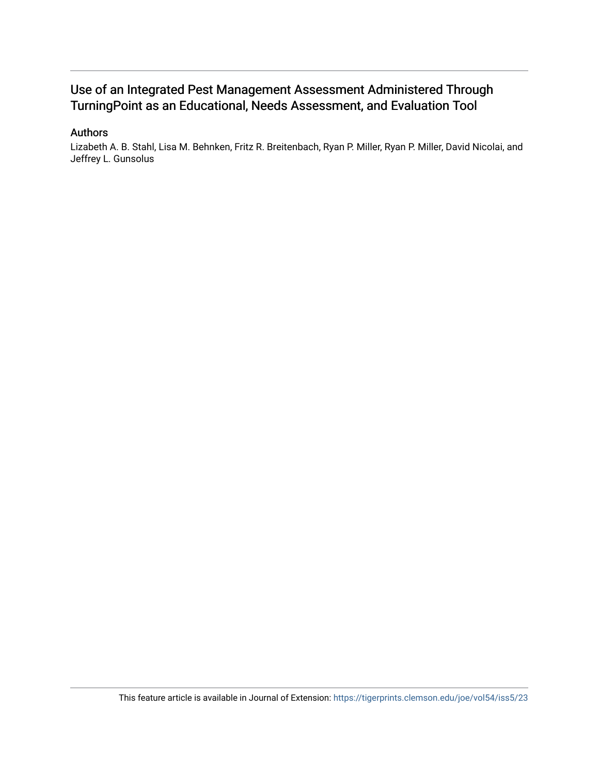# Use of an Integrated Pest Management Assessment Administered Through TurningPoint as an Educational, Needs Assessment, and Evaluation Tool

### Authors

Lizabeth A. B. Stahl, Lisa M. Behnken, Fritz R. Breitenbach, Ryan P. Miller, Ryan P. Miller, David Nicolai, and Jeffrey L. Gunsolus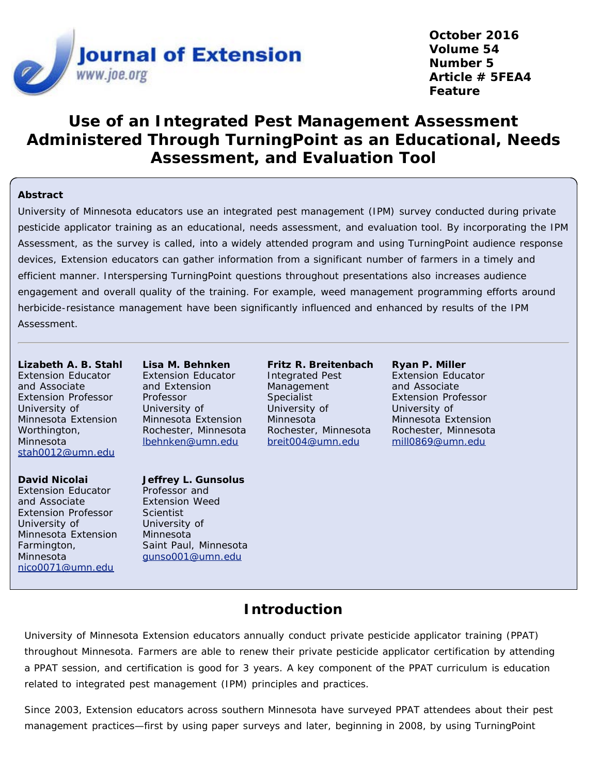

**October 2016 Volume 54 Number 5 Article # 5FEA4 Feature**

# **Use of an Integrated Pest Management Assessment Administered Through TurningPoint as an Educational, Needs Assessment, and Evaluation Tool**

### **Abstract**

University of Minnesota educators use an integrated pest management (IPM) survey conducted during private pesticide applicator training as an educational, needs assessment, and evaluation tool. By incorporating the IPM Assessment, as the survey is called, into a widely attended program and using TurningPoint audience response devices, Extension educators can gather information from a significant number of farmers in a timely and efficient manner. Interspersing TurningPoint questions throughout presentations also increases audience engagement and overall quality of the training. For example, weed management programming efforts around herbicide-resistance management have been significantly influenced and enhanced by results of the IPM Assessment.

**Lizabeth A. B. Stahl** Extension Educator and Associate Extension Professor University of Minnesota Extension Worthington, Minnesota [stah0012@umn.edu](mailto:stah0012@umn.edu)

**David Nicolai** Extension Educator and Associate Extension Professor University of Minnesota Extension Farmington, Minnesota [nico0071@umn.edu](mailto:nico0071@umn.edu)

**Lisa M. Behnken** Extension Educator and Extension Professor University of Minnesota Extension Rochester, Minnesota [lbehnken@umn.edu](mailto:lbehnken@umn.edu)

#### **Jeffrey L. Gunsolus** Professor and

Extension Weed **Scientist** University of Minnesota Saint Paul, Minnesota [gunso001@umn.edu](mailto:gunso001@umn.edu)

**Fritz R. Breitenbach** Integrated Pest Management Specialist University of Minnesota Rochester, Minnesota [breit004@umn.edu](mailto:breit004@umn.edu)

**Ryan P. Miller** Extension Educator and Associate Extension Professor University of Minnesota Extension Rochester, Minnesota [mill0869@umn.edu](mailto:mill0869@umn.edu)

# **Introduction**

University of Minnesota Extension educators annually conduct private pesticide applicator training (PPAT) throughout Minnesota. Farmers are able to renew their private pesticide applicator certification by attending a PPAT session, and certification is good for 3 years. A key component of the PPAT curriculum is education related to integrated pest management (IPM) principles and practices.

Since 2003, Extension educators across southern Minnesota have surveyed PPAT attendees about their pest management practices—first by using paper surveys and later, beginning in 2008, by using TurningPoint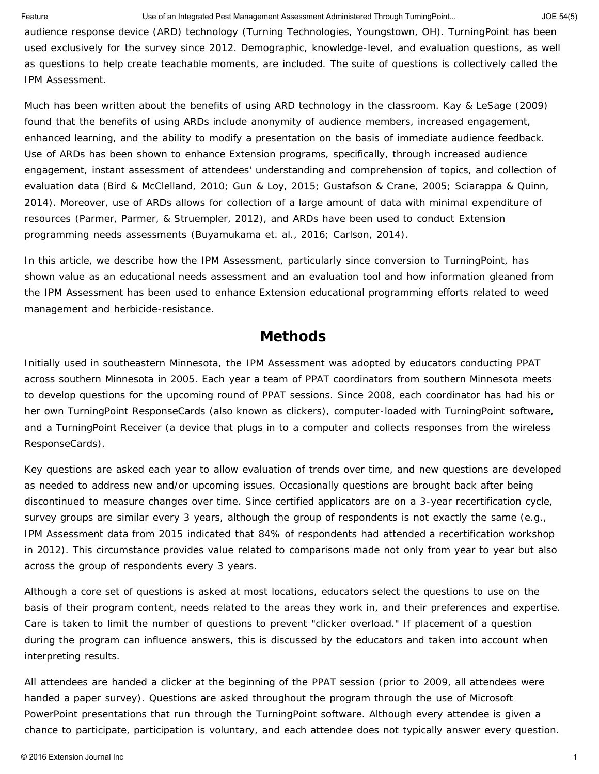audience response device (ARD) technology (Turning Technologies, Youngstown, OH). TurningPoint has been used exclusively for the survey since 2012. Demographic, knowledge-level, and evaluation questions, as well as questions to help create teachable moments, are included. The suite of questions is collectively called the IPM Assessment.

Much has been written about the benefits of using ARD technology in the classroom. Kay & LeSage (2009) found that the benefits of using ARDs include anonymity of audience members, increased engagement, enhanced learning, and the ability to modify a presentation on the basis of immediate audience feedback. Use of ARDs has been shown to enhance Extension programs, specifically, through increased audience engagement, instant assessment of attendees' understanding and comprehension of topics, and collection of evaluation data (Bird & McClelland, 2010; Gun & Loy, 2015; Gustafson & Crane, 2005; Sciarappa & Quinn, 2014). Moreover, use of ARDs allows for collection of a large amount of data with minimal expenditure of resources (Parmer, Parmer, & Struempler, 2012), and ARDs have been used to conduct Extension programming needs assessments (Buyamukama et. al., 2016; Carlson, 2014).

In this article, we describe how the IPM Assessment, particularly since conversion to TurningPoint, has shown value as an educational needs assessment and an evaluation tool and how information gleaned from the IPM Assessment has been used to enhance Extension educational programming efforts related to weed management and herbicide-resistance.

### **Methods**

Initially used in southeastern Minnesota, the IPM Assessment was adopted by educators conducting PPAT across southern Minnesota in 2005. Each year a team of PPAT coordinators from southern Minnesota meets to develop questions for the upcoming round of PPAT sessions. Since 2008, each coordinator has had his or her own TurningPoint ResponseCards (also known as clickers), computer-loaded with TurningPoint software, and a TurningPoint Receiver (a device that plugs in to a computer and collects responses from the wireless ResponseCards).

Key questions are asked each year to allow evaluation of trends over time, and new questions are developed as needed to address new and/or upcoming issues. Occasionally questions are brought back after being discontinued to measure changes over time. Since certified applicators are on a 3-year recertification cycle, survey groups are similar every 3 years, although the group of respondents is not exactly the same (e.g., IPM Assessment data from 2015 indicated that 84% of respondents had attended a recertification workshop in 2012). This circumstance provides value related to comparisons made not only from year to year but also across the group of respondents every 3 years.

Although a core set of questions is asked at most locations, educators select the questions to use on the basis of their program content, needs related to the areas they work in, and their preferences and expertise. Care is taken to limit the number of questions to prevent "clicker overload." If placement of a question during the program can influence answers, this is discussed by the educators and taken into account when interpreting results.

All attendees are handed a clicker at the beginning of the PPAT session (prior to 2009, all attendees were handed a paper survey). Questions are asked throughout the program through the use of Microsoft PowerPoint presentations that run through the TurningPoint software. Although every attendee is given a chance to participate, participation is voluntary, and each attendee does not typically answer every question.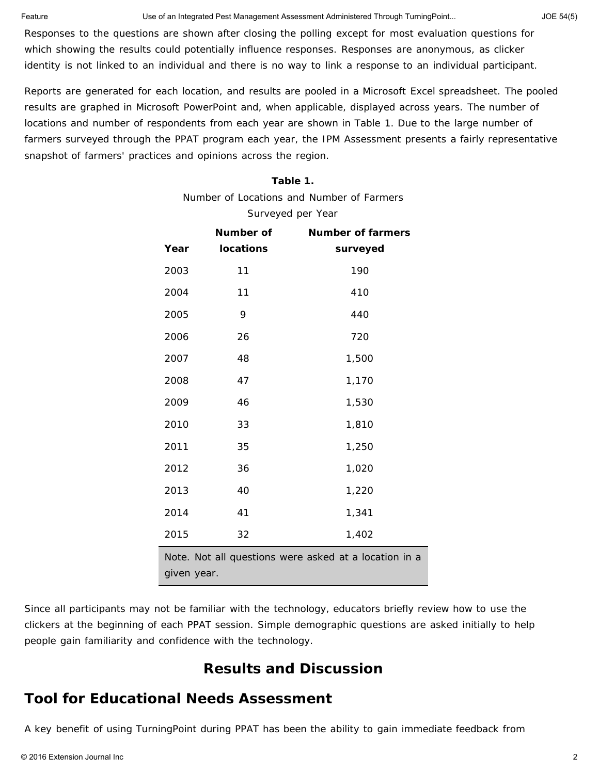Responses to the questions are shown after closing the polling except for most evaluation questions for which showing the results could potentially influence responses. Responses are anonymous, as clicker identity is not linked to an individual and there is no way to link a response to an individual participant.

Reports are generated for each location, and results are pooled in a Microsoft Excel spreadsheet. The pooled results are graphed in Microsoft PowerPoint and, when applicable, displayed across years. The number of locations and number of respondents from each year are shown in Table 1. Due to the large number of farmers surveyed through the PPAT program each year, the IPM Assessment presents a fairly representative snapshot of farmers' practices and opinions across the region.

### **Table 1.**

Number of Locations and Number of Farmers

Surveyed per Year

|                                                                      | Number of        | <b>Number of farmers</b> |  |  |  |
|----------------------------------------------------------------------|------------------|--------------------------|--|--|--|
| Year                                                                 | <b>locations</b> | surveyed                 |  |  |  |
| 2003                                                                 | 11               | 190                      |  |  |  |
| 2004                                                                 | 11               | 410                      |  |  |  |
| 2005                                                                 | 9                | 440                      |  |  |  |
| 2006                                                                 | 26               | 720                      |  |  |  |
| 2007                                                                 | 48               | 1,500                    |  |  |  |
| 2008                                                                 | 47               | 1,170                    |  |  |  |
| 2009                                                                 | 46               | 1,530                    |  |  |  |
| 2010                                                                 | 33               | 1,810                    |  |  |  |
| 2011                                                                 | 35               | 1,250                    |  |  |  |
| 2012                                                                 | 36               | 1,020                    |  |  |  |
| 2013                                                                 | 40               | 1,220                    |  |  |  |
| 2014                                                                 | 41               | 1,341                    |  |  |  |
| 2015                                                                 | 32               | 1,402                    |  |  |  |
| Note. Not all questions were asked at a location in a<br>given year. |                  |                          |  |  |  |

Since all participants may not be familiar with the technology, educators briefly review how to use the clickers at the beginning of each PPAT session. Simple demographic questions are asked initially to help people gain familiarity and confidence with the technology.

# **Results and Discussion**

# **Tool for Educational Needs Assessment**

A key benefit of using TurningPoint during PPAT has been the ability to gain immediate feedback from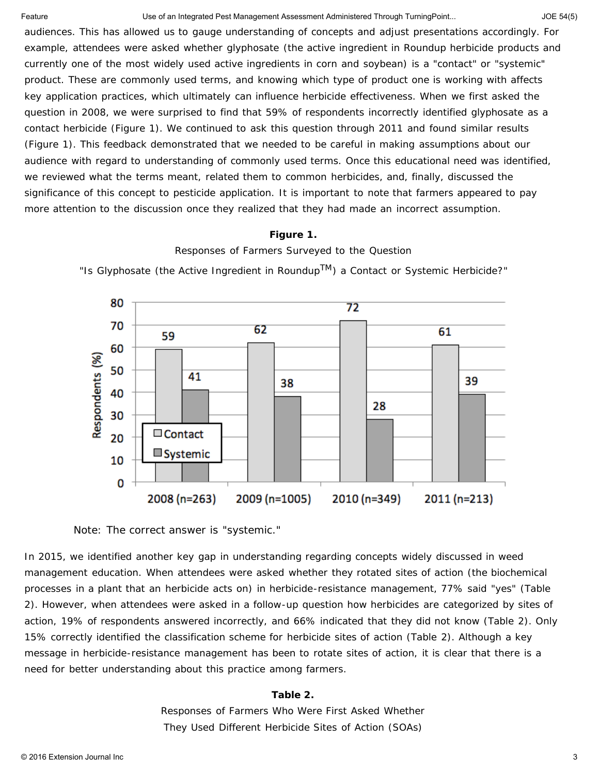audiences. This has allowed us to gauge understanding of concepts and adjust presentations accordingly. For example, attendees were asked whether glyphosate (the active ingredient in Roundup herbicide products and currently one of the most widely used active ingredients in corn and soybean) is a "contact" or "systemic" product. These are commonly used terms, and knowing which type of product one is working with affects key application practices, which ultimately can influence herbicide effectiveness. When we first asked the question in 2008, we were surprised to find that 59% of respondents incorrectly identified glyphosate as a contact herbicide (Figure 1). We continued to ask this question through 2011 and found similar results (Figure 1). This feedback demonstrated that we needed to be careful in making assumptions about our audience with regard to understanding of commonly used terms. Once this educational need was identified, we reviewed what the terms meant, related them to common herbicides, and, finally, discussed the significance of this concept to pesticide application. It is important to note that farmers appeared to pay more attention to the discussion once they realized that they had made an incorrect assumption.

#### **Figure 1.**



Responses of Farmers Surveyed to the Question

Note: The correct answer is "systemic."

In 2015, we identified another key gap in understanding regarding concepts widely discussed in weed management education. When attendees were asked whether they rotated sites of action (the biochemical processes in a plant that an herbicide acts on) in herbicide-resistance management, 77% said "yes" (Table 2). However, when attendees were asked in a follow-up question how herbicides are categorized by sites of action, 19% of respondents answered incorrectly, and 66% indicated that they did not know (Table 2). Only 15% correctly identified the classification scheme for herbicide sites of action (Table 2). Although a key message in herbicide-resistance management has been to rotate sites of action, it is clear that there is a need for better understanding about this practice among farmers.

### **Table 2.**

Responses of Farmers Who Were First Asked Whether They Used Different Herbicide Sites of Action (SOAs)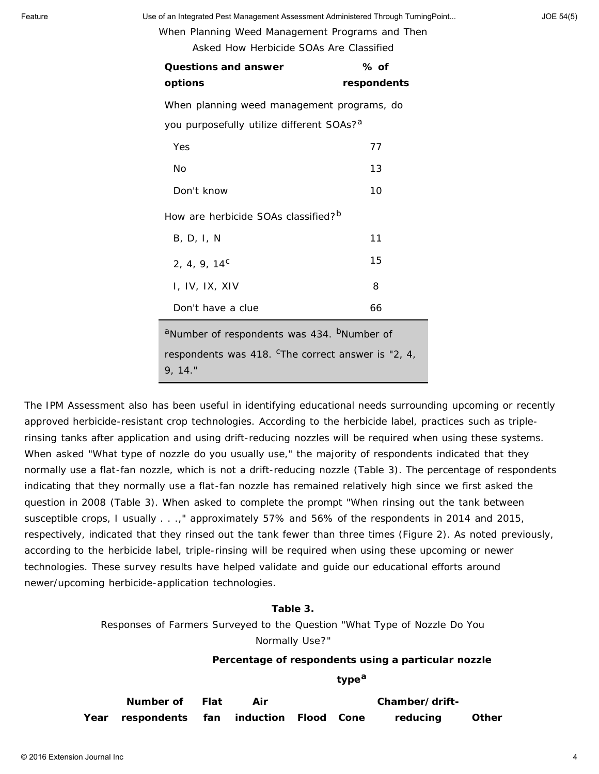When Planning Weed Management Programs and Then

Asked How Herbicide SOAs Are Classified

| <b>Questions and answer</b><br>options                                    | % of<br>respondents |  |  |  |  |
|---------------------------------------------------------------------------|---------------------|--|--|--|--|
| When planning weed management programs, do                                |                     |  |  |  |  |
| you purposefully utilize different SOAs? <sup>a</sup>                     |                     |  |  |  |  |
| Yes                                                                       | 77                  |  |  |  |  |
| No                                                                        | 13                  |  |  |  |  |
| Don't know                                                                | 10                  |  |  |  |  |
| How are herbicide SOAs classified? <sup>b</sup>                           |                     |  |  |  |  |
| B, D, I, N                                                                | 11                  |  |  |  |  |
| 2, 4, 9, $14^c$                                                           | 15                  |  |  |  |  |
| I, IV, IX, XIV                                                            | 8                   |  |  |  |  |
| Don't have a clue                                                         | 66                  |  |  |  |  |
| <sup>a</sup> Number of respondents was 434. <sup>b</sup> Number of        |                     |  |  |  |  |
| respondents was 418. <sup>c</sup> The correct answer is "2, 4,<br>9, 14." |                     |  |  |  |  |

The IPM Assessment also has been useful in identifying educational needs surrounding upcoming or recently approved herbicide-resistant crop technologies. According to the herbicide label, practices such as triplerinsing tanks after application and using drift-reducing nozzles will be required when using these systems. When asked "What type of nozzle do you usually use," the majority of respondents indicated that they normally use a flat-fan nozzle, which is not a drift-reducing nozzle (Table 3). The percentage of respondents indicating that they normally use a flat-fan nozzle has remained relatively high since we first asked the question in 2008 (Table 3). When asked to complete the prompt "When rinsing out the tank between susceptible crops, I usually . . .," approximately 57% and 56% of the respondents in 2014 and 2015, respectively, indicated that they rinsed out the tank fewer than three times (Figure 2). As noted previously, according to the herbicide label, triple-rinsing will be required when using these upcoming or newer technologies. These survey results have helped validate and guide our educational efforts around newer/upcoming herbicide-application technologies.

### **Table 3.**

Responses of Farmers Surveyed to the Question "What Type of Nozzle Do You Normally Use?"

**Percentage of respondents using a particular nozzle**

**type<sup>a</sup>**

| Number of Flat                            |  |  | Chamber/drift- |              |
|-------------------------------------------|--|--|----------------|--------------|
| Year respondents fan induction Flood Cone |  |  | reducing       | <b>Other</b> |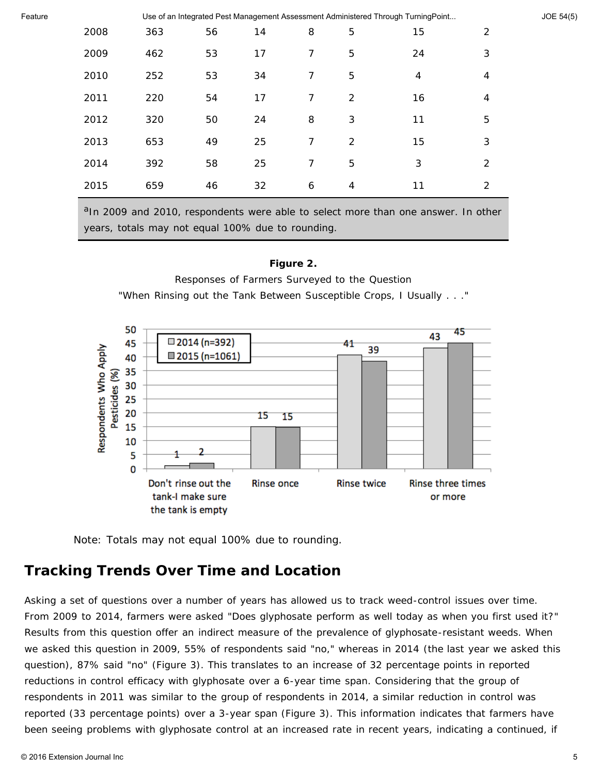| 2008 | 363 | 56 | 14 | 8 | 5 | 15 | 2              |
|------|-----|----|----|---|---|----|----------------|
| 2009 | 462 | 53 | 17 | 7 | 5 | 24 | 3              |
| 2010 | 252 | 53 | 34 | 7 | 5 | 4  | $\overline{4}$ |
| 2011 | 220 | 54 | 17 | 7 | 2 | 16 | 4              |
| 2012 | 320 | 50 | 24 | 8 | 3 | 11 | 5              |
| 2013 | 653 | 49 | 25 | 7 | 2 | 15 | 3              |
| 2014 | 392 | 58 | 25 | 7 | 5 | 3  | 2              |
| 2015 | 659 | 46 | 32 | 6 | 4 | 11 | 2              |

 $a$ In 2009 and 2010, respondents were able to select more than one answer. In other years, totals may not equal 100% due to rounding.

### **Figure 2.**

Responses of Farmers Surveyed to the Question

"When Rinsing out the Tank Between Susceptible Crops, I Usually . . ."



Note: Totals may not equal 100% due to rounding.

## **Tracking Trends Over Time and Location**

Asking a set of questions over a number of years has allowed us to track weed-control issues over time. From 2009 to 2014, farmers were asked "Does glyphosate perform as well today as when you first used it?" Results from this question offer an indirect measure of the prevalence of glyphosate-resistant weeds. When we asked this question in 2009, 55% of respondents said "no," whereas in 2014 (the last year we asked this question), 87% said "no" (Figure 3). This translates to an increase of 32 percentage points in reported reductions in control efficacy with glyphosate over a 6-year time span. Considering that the group of respondents in 2011 was similar to the group of respondents in 2014, a similar reduction in control was reported (33 percentage points) over a 3-year span (Figure 3). This information indicates that farmers have been seeing problems with glyphosate control at an increased rate in recent years, indicating a continued, if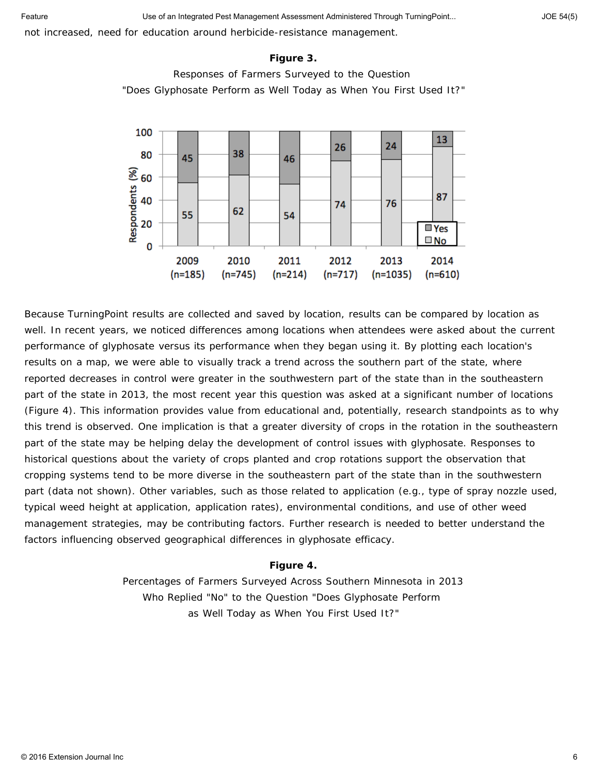not increased, need for education around herbicide-resistance management.

#### **Figure 3.**





Because TurningPoint results are collected and saved by location, results can be compared by location as well. In recent years, we noticed differences among locations when attendees were asked about the current performance of glyphosate versus its performance when they began using it. By plotting each location's results on a map, we were able to visually track a trend across the southern part of the state, where reported decreases in control were greater in the southwestern part of the state than in the southeastern part of the state in 2013, the most recent year this question was asked at a significant number of locations (Figure 4). This information provides value from educational and, potentially, research standpoints as to why this trend is observed. One implication is that a greater diversity of crops in the rotation in the southeastern part of the state may be helping delay the development of control issues with glyphosate. Responses to historical questions about the variety of crops planted and crop rotations support the observation that cropping systems tend to be more diverse in the southeastern part of the state than in the southwestern part (data not shown). Other variables, such as those related to application (e.g., type of spray nozzle used, typical weed height at application, application rates), environmental conditions, and use of other weed management strategies, may be contributing factors. Further research is needed to better understand the factors influencing observed geographical differences in glyphosate efficacy.

#### **Figure 4.**

Percentages of Farmers Surveyed Across Southern Minnesota in 2013 Who Replied "No" to the Question "Does Glyphosate Perform as Well Today as When You First Used It?"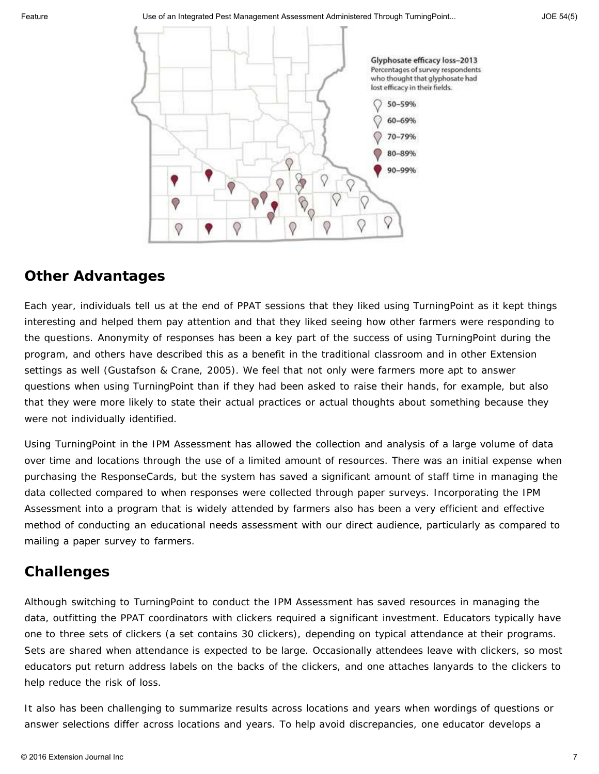

# **Other Advantages**

Each year, individuals tell us at the end of PPAT sessions that they liked using TurningPoint as it kept things interesting and helped them pay attention and that they liked seeing how other farmers were responding to the questions. Anonymity of responses has been a key part of the success of using TurningPoint during the program, and others have described this as a benefit in the traditional classroom and in other Extension settings as well (Gustafson & Crane, 2005). We feel that not only were farmers more apt to answer questions when using TurningPoint than if they had been asked to raise their hands, for example, but also that they were more likely to state their actual practices or actual thoughts about something because they were not individually identified.

Using TurningPoint in the IPM Assessment has allowed the collection and analysis of a large volume of data over time and locations through the use of a limited amount of resources. There was an initial expense when purchasing the ResponseCards, but the system has saved a significant amount of staff time in managing the data collected compared to when responses were collected through paper surveys. Incorporating the IPM Assessment into a program that is widely attended by farmers also has been a very efficient and effective method of conducting an educational needs assessment with our direct audience, particularly as compared to mailing a paper survey to farmers.

## **Challenges**

Although switching to TurningPoint to conduct the IPM Assessment has saved resources in managing the data, outfitting the PPAT coordinators with clickers required a significant investment. Educators typically have one to three sets of clickers (a set contains 30 clickers), depending on typical attendance at their programs. Sets are shared when attendance is expected to be large. Occasionally attendees leave with clickers, so most educators put return address labels on the backs of the clickers, and one attaches lanyards to the clickers to help reduce the risk of loss.

It also has been challenging to summarize results across locations and years when wordings of questions or answer selections differ across locations and years. To help avoid discrepancies, one educator develops a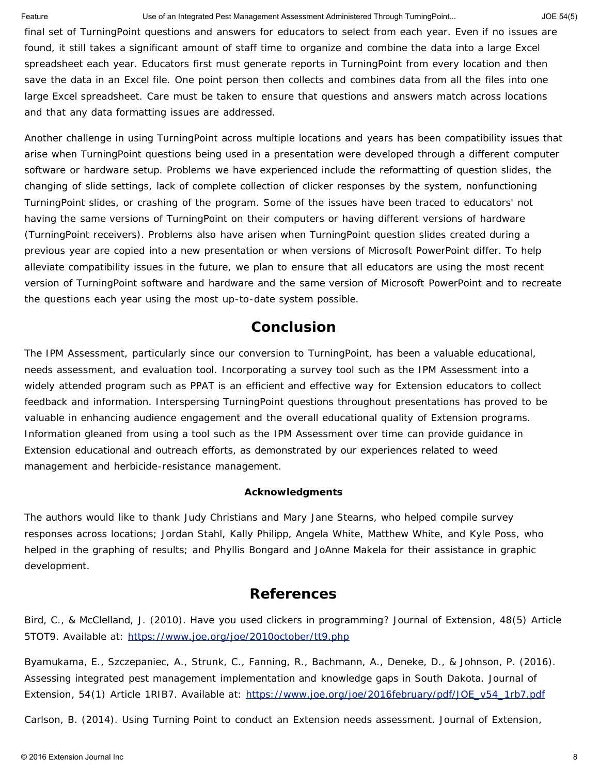final set of TurningPoint questions and answers for educators to select from each year. Even if no issues are found, it still takes a significant amount of staff time to organize and combine the data into a large Excel spreadsheet each year. Educators first must generate reports in TurningPoint from every location and then save the data in an Excel file. One point person then collects and combines data from all the files into one large Excel spreadsheet. Care must be taken to ensure that questions and answers match across locations and that any data formatting issues are addressed.

Another challenge in using TurningPoint across multiple locations and years has been compatibility issues that arise when TurningPoint questions being used in a presentation were developed through a different computer software or hardware setup. Problems we have experienced include the reformatting of question slides, the changing of slide settings, lack of complete collection of clicker responses by the system, nonfunctioning TurningPoint slides, or crashing of the program. Some of the issues have been traced to educators' not having the same versions of TurningPoint on their computers or having different versions of hardware (TurningPoint receivers). Problems also have arisen when TurningPoint question slides created during a previous year are copied into a new presentation or when versions of Microsoft PowerPoint differ. To help alleviate compatibility issues in the future, we plan to ensure that all educators are using the most recent version of TurningPoint software and hardware and the same version of Microsoft PowerPoint and to recreate the questions each year using the most up-to-date system possible.

# **Conclusion**

The IPM Assessment, particularly since our conversion to TurningPoint, has been a valuable educational, needs assessment, and evaluation tool. Incorporating a survey tool such as the IPM Assessment into a widely attended program such as PPAT is an efficient and effective way for Extension educators to collect feedback and information. Interspersing TurningPoint questions throughout presentations has proved to be valuable in enhancing audience engagement and the overall educational quality of Extension programs. Information gleaned from using a tool such as the IPM Assessment over time can provide guidance in Extension educational and outreach efforts, as demonstrated by our experiences related to weed management and herbicide-resistance management.

### **Acknowledgments**

The authors would like to thank Judy Christians and Mary Jane Stearns, who helped compile survey responses across locations; Jordan Stahl, Kally Philipp, Angela White, Matthew White, and Kyle Poss, who helped in the graphing of results; and Phyllis Bongard and JoAnne Makela for their assistance in graphic development.

## **References**

Bird, C., & McClelland, J. (2010). Have you used clickers in programming? *Journal of Extension*, *48*(5) Article 5TOT9. Available at: <https://www.joe.org/joe/2010october/tt9.php>

Byamukama, E., Szczepaniec, A., Strunk, C., Fanning, R., Bachmann, A., Deneke, D., & Johnson, P. (2016). Assessing integrated pest management implementation and knowledge gaps in South Dakota. *Journal of Extension*, *54*(1) Article 1RIB7. Available at: [https://www.joe.org/joe/2016february/pdf/JOE\\_v54\\_1rb7.pdf](https://www.joe.org/joe/2016february/pdf/JOE_v54_1rb7.pdf)

Carlson, B. (2014). Using Turning Point to conduct an Extension needs assessment. *Journal of Extension*,